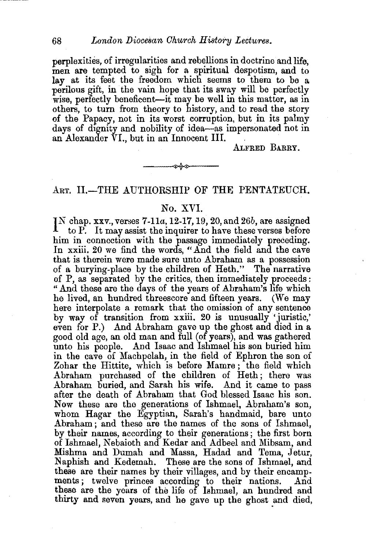perplexities, of irregularities and rebellions in doctrine and life, men are tempted to sigh for a spiritual despotism, and to lay at its feet the freedom which seems to them to be a perilous gift, in the vain hope that its sway will be perfectly wise, perfectly beneficent—it may be well in this matter, as in others, to turn from theory to history, and to read the story of the Papacy, not in its worst corruption, but in its palmy days of dignity and nobility of idea-as impersonated not in an Alexander VI., but in an Innocent III. . · ALFRED BARRY.

 $\rightarrow$ 

## ART. II.-THE AUTHORSHIP OF THE PENTATEUCH.

## No. XVI.

IN chap. xxv., verses 7-11a, 12-17, 19, 20, and 26b, are assigned to P. It may assist the inquirer to have these verses before to P. It may assist the inquirer to have these verses before him in connection with the passage immediately preceding. In xxiii. 20 we find the words, "And the field and the cave that is therein were made sure unto Abraham as a possession of a burying-place by the children of Heth." The narrative of P, as separated by the critics, then immediately proceeds: "And these are the days of the years of Abraham's life which he lived, an hundred threescore and fifteen years. (We may here interpolate a remark that the omission of any sentence by way of transition from xxiii. 20 is unusually 'juristic,' even for P.) And Abraham gave up the ghost and died in a good old age, an old man and full (of years), and was gathered unto his people. And Isaac and Ishmael his son buried him in the cave of Machpelah, in the field of Ephron the son of Zohar the Hittite, which is before Mamre ; the field which Abraham purchased of the children of Heth ; there was Abraham buried, and Sarah his wife. And it came to pass after the death of Abraham that God blessed Isaac his son. Now these are the generations of Ishmael, Abraham's son, whom Hagar the Egyptian, Sarah's handmaid, bare unto Abraham ; and these are the names of the sons of Ishmael, by their names, according to their generations ; the first born of Ishmael, Nebaioth and Kedar and Adbeel and Mibsam, and Mishma and Dumah and Massa, Hadad and Tema, Jetur, Naphish and Kedemah. These are the sons of Ishmael, and these are their names by their villages, and by their encampments; twelve princes according to their nations. And these are the years of the life of Ishmael, an hundred and thirty and seven years, and he gave up the ghost and died,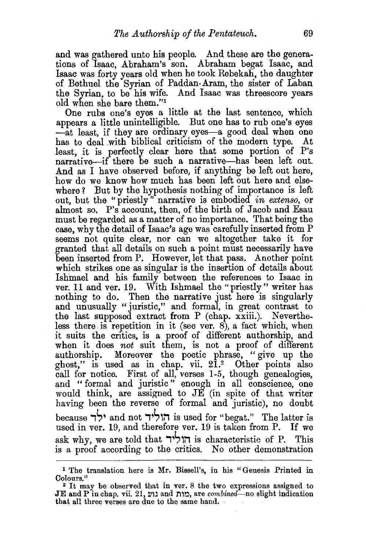and was gathered unto his people. And these are the generations of Isaac, Abraham's son. Abraham begat Isaac, and Isaac was forty years old when he took Rebekah, the daughter of Bethuel the Syrian of Paddan-Aram, the sister of Laban the Syrian, to be his wife. And Isaac was threescore years old when she bare them."1

One rubs one's eyes a little at the last sentence, which appears a little unintelligible. But one has to rub one's eyes -at least, if they are ordinary eyes-a good deal when one has to deal with biblical criticism of the modern type. At least, it is perfectly clear here that some portion of P's narrative—if there be such a narrative—has been left out. And as I have observed before, if anything be left out here, how do we know how much has been left out here and elsewhere? But by the hypothesis nothing of importance is left out, but the "priestly" narrative is embodied *in extenso,* or almost so. P's account, then, of the birth of Jacob and Esau must be regarded as a matter of no importance. That being the case, why the detail of Isaac's age was carefully inserted from P seems not quite clear, nor can we altogether take it for granted that all details on such a point must necessarily have been inserted from P. However, let that pass. Another point which strikes one as singular is the insertion of details about Ishmael and his family between the references to Isaac in ver. 11 and ver. 19. With Ishmael the "priestly" writer has nothing to do. Then the narrative just here is singularly and unusually "juristic," and formal, in great contrast to the last supposed extract from P (chap. xxiii.). Nevertheless there. is repetition in it (see ver. 8), a fact which, when it suits the critics, is a proof of different authorship, and when it does *not* suit them, is not a proof of different authorship. Moreover the poetic phrase, "give up the Moreover the poetic phrase, " give up the ghost," is used as in chap. vii. 21.2 Other points also call for notice. First of all, verses 1-5, though genealogies, and "formal and juristic" enough in all conscience, one would think, are assigned to JE (in spite of that writer having been the reverse of formal and juristic), no doubt because  $\forall$ ך; and not  $\forall$ ר) is used for "begat." The latter is used in ver. 19, and therefore ver. 19 is taken from P. If we ask why, we are told that  $\exists$ הוליד; is characteristic of P. This is a proof according to the critics. No other demonstration

<sup>&</sup>lt;sup>1</sup> The translation here is Mr. Bissell's, in his "Genesis Printed in Colours."

<sup>&</sup>lt;sup>2</sup> It may be observed that in ver. 8 the two expressions assigned to JE and P in chap. vii. 21, Im and nl~, are *cornbined-no* slight indication that all three verses are due to the same hand.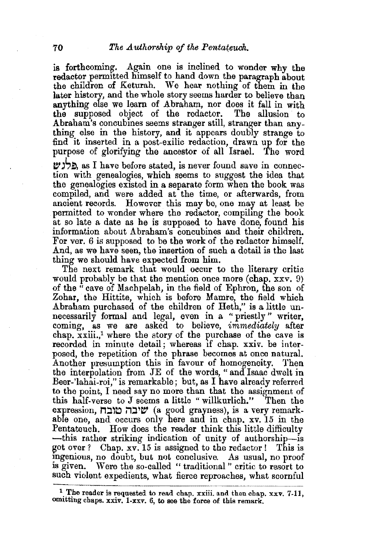is forthcoming. Again one is inclined to wonder why the redactor permitted himself to hand down the paragraph about the children of Keturah. We hear nothing of them in the later history, and the whole story seems harder to believe than anything else we learn of Abraham, nor does it fall in with the supposed object of the redactor. The allusion to the supposed object of the redactor. Abraham's concubmes seems stranger still, stranger than anything else in the history, and it appears doubly strange to find it inserted in a post-exilic redaction, drawn up for the purpose of glorifying the ancestor of all Israel. The word

*W* ~S!'J. as I have before stated, is never found save in connection with genealogies, which seems to suggest the idea that the genealogies existed in a separate form when the book was compiled, and were added at the time, or afterwards, from ancient records. However this may be, one may at least be permitted to wonder where the redactor, compilmg the book at so late a date as he is supposed to have done, found his information about Abraham's concubines and their children. For ver. 6 is supposed to be the work of the redactor himself. And, as we have seen, the insertion of such a detail is the last thing we should have expected from him.

The next remark that would occur to the literary critic would probably be that the mention once more (chap.  $xxv.$  9) of the "cave of Machpelah, in the field of Ephron, the son of Zohar, the Hittite, which is before Mamre, the field which Abraham purchased of the children of Beth," is a little unnecessarily formal and legal, even in a "priestly" writer, coming, as we are asked to believe, *immediately* after chap. xxiii.,<sup>1</sup> where the story of the purchase of the cave is recorded in minute detail; whereas if chap. xxiv. be interposed, the repetition of the phrase becomes at once natural. Another presumption this in favour of homogeneity. Then the interpolation from JE of the words, " and Isaac dwelt in Beer-'lahai-roi," is remarkable; but, as I have already referred to the point, I need say no more than that the assignment of this half-verse to J seems a little "willkurlich." Then the expression, שיבה טובח (a good grayness), is a very remarkable one, and occurs only here and in chap. xv. 15 in the Pentateuch. How does the reader think this little difficulty -this rather striking indication of unity of authorship-is got over? Chap.  $xy$ , 15 is assigned to the redactor! This is mgenious, no doubt, but not conclusive. As usual, no proof is given. Were the so-called " traditional " critic to resort to such violent expedients, what fierce reproaches, what scornful

<sup>&</sup>lt;sup>1</sup> The reader is requested to read chap. xxiii. and then chap.  $xxv$ . 7-11, omitting chaps. xxiv. 1-xxv. 6, to see the force of this remark.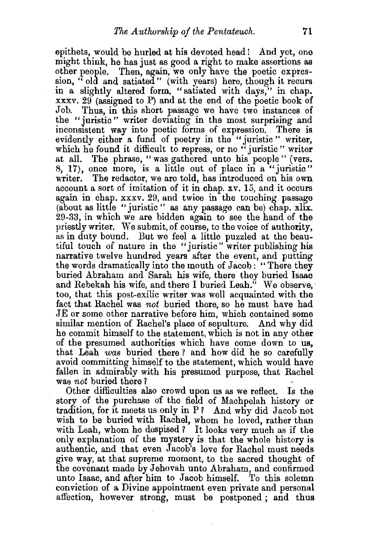epithets, would be hurled at his devoted head ! And yet, one might think, he has just as good a right to make assertions as other people. Then, again, we only have the poetic expression, "old and satiated" (with years) here, though it recurs in a slightly altered form, " satiated with days," in chap.  $xxxx$ ,  $29$  (assigned to P) and at the end of the poetic book of Job. Thus, in this short passage we have two instances of the "juristic" writer deviating in the most surprising and inconsistent way into poetic forms of expression. There is evidently either a fund of poetry in the "juristic" writer, which he found it difficult to repress, or no "juristic" writer at all. 'fhe phrase, "was gathered unto his people " (vers. 8, 17), once more, is a little out of place in a "juristic" writer. The redactor, we are told, has introduced on his own account a sort of imitation of it in chap. xv. 15, and it occurs again in chap. xxxv. 29, and twice in the touching passage (about as little "juristic" as any passage can be) chap. xlix. 29-33, in which we are bidden again to see the hand of the priestly writer. We submit, of course, to the voice of authority, as in duty bound. But we feel a little puzzled at the beautiful touch of nature in the "juristic" writer publishing his narrative twelve hundred years after the event, and putting the words dramatically into the mouth of Jacob : " There they buried Abraham and Sarah his wife, there they buried Isaac and Rebekah his wife, and there I buried Leah." We observe, too, that this post-exilic writer was well acquainted with the fact that Rachel was *not* buried there, so he must have had JE or some other narrative before him, which contained some similar mention of Rachel's place of sepulture. And why did he commit himself to the statement, which is not in any other of the presumed authorities which have come down to us, that Leah *was* buried there ? and how did he so carefully avoid committing himself to the statement, which would have fallen in admirably with his presumed purpose, that Rachel was *not* buried there ?

Other difficulties also crowd upon us as we reflect. Is the story of the purchase of the field of Machpelah history or tradition, for it meets us only in P? And why did Jacob not wish to be buried with Rachel, whom he loved, rather than with Leah, whom he despised? It looks very much as if the only explanation of the mystery is that the whole history is authentic, and that even Jacob's love for Rachel must needs give way, at that supreme moment, to the sacred thought of the covenant made by Jehovah unto Abraham, and confirmed unto Isaac, and after him to Jacob himself. 'fo this solemn conviction of a Divine appointment even private and personal affection, however strong, must be postponed ; and thus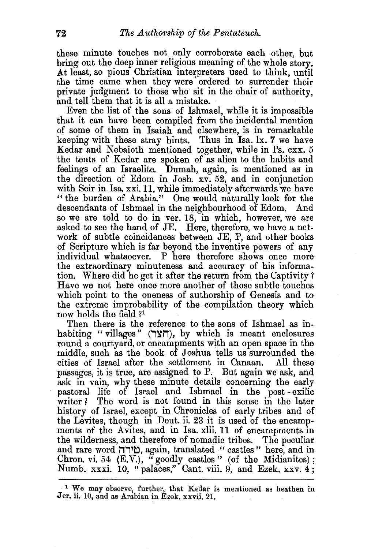these minute touches not only corroborate each other, but bring out the deep inner religious meaning of the whole story. At least, so pious Christian interpreters used to think, until the time came when they were ordered to surrender their private judgment to those who sit in the chair of authority, and tell them that it is all a mistake.

Even the list of the sons of Ishmael, while it is impossible that it can have been compiled from the incidental mention of some of them in Isaiah and elsewhere, is in remarkable keeping with these stray hints. Thus in Isa. lx. 7 we have Kedar and Nebaioth mentioned together, while in Ps. cxx. 5 the tents of Kedar are spoken of as alien to the habits and feelings of an Israelite. Dumah, again, is mentioned as in the direction of Edom in Josh.  $xy$ , 52, and in conjunction with Seir in Isa. xxi. 11, while immediately afterwards we have "the burden of Arabia." One would naturally look for the descendants of Ishmael in the neighbourhood of Edom. And so we are told to do in ver. 18, in which, however, we are asked to see the hand of JE. Here, therefore, we have a network of subtle coincidences between JE, P, and other books of Scripture which is far beyond the inventive powers of any individual whatsoever. P here therefore shows once more the extraordinary minuteness and accuracy of his information. Where did he get it after the return from the Captivity 1 Have we not here once more another of those subtle touches which point to the oneness of authorship of Genesis and to the extreme improbability of the compilation theory which now holds the field ?

Then there is the reference to the sons of Ishmael as inhabiting " villages" (הצר), by which is meant enclosures round a courtyard, or encampments with an open space in the middle, such as the book of Joshua tells us surrounded the cities of Israel after the settlement in Canaan. All these cities of Israel after the settlement in Canaan. passages, it is true, are assigned to P. But again we ask, and ask in vain, why these minute details concerning the early pastoral life of Israel and Ishmael in the post-exilic writer ? The word is not found in this sense in the later history of Israel, except in Chronicles of early tribes and of the Levites, though in Deut. ii. 23 it is used of the encampments of the Avites, and in Isa. xlii. 11 of encampments in the wilderness, and therefore of nomadic tribes. The peculiar and rare word **ili'b,** again, translated " castles " here, and in Chron. vi. 54  $(E.V.)$ , "goodly castles" (of the Midianites); Numb. xxxi. 10, " palaces," Cant. viii. 9, and Ezek. xxv. 4 ;

<sup>1</sup> We may observe, further, that Kedar is mentioned as heathen in Jer. ii. 10, and as Arabian in Ezek. xxvii. 21.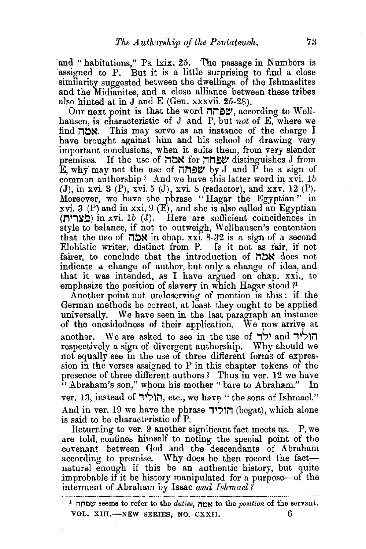and "habitations." Ps. lxix. 25. The passage in Numbers is assigned to P. But it is a little surprising to find a close similarity suggested between the dwellings of the Ishmaelites and the Midianites, and a close alliance between these tribes also hinted at in J and E (Gen. xxxvii. 25-28).

Our next point is that the word **l"TI"l!lt:?,** according to Wellhausen, is characteristic of J and P, but *not* of E, where we find **l"TbN.** This may serve as an instance of the charge I have brought against him and his school of drawing very important conclusions, when it suits them, from very slender premises. If the use of **rtbN** for **l"TI"lW** distinguishes J from E, why may not the use of  $\nabla \text{H} \times \text{H}$  by J and P be a sign of common authorship? And we have this latter word in  $x\bar{v}i$ . 1b (J), in xvi. 3 (P), xvi. 5 (J), xvi. 8 (redactor), and xxv. 12 (P). Moreover, we have the phrase " Hagar the Egyptian " in xvi. 3 (P) and in xxi.  $9(E)$ , and she is also called an Egyptian  $(\mathbf{M}^*)$  in xvi. 1b (J). Here are sufficient coincidences in style to balance, if not to outweigh, Wellhausen's contention that the use of **l"TbN** in chap. xxi. 8-32 is a sign of a second Elohistic writer, distinct from P. Is it not as fair, if not fairer, to conclude that the introduction of **l"TbN** does not indicate a change of author, but only a change of idea, and that it was intended, as I have argued on chap. xxi., to emphasize the position of slavery in which Hagar stood?<sup>1</sup>

Another point not undeserving of mention is this : if the German methods be correct, at least they ought to be applied universally. We have seen in the last paragraph an instance of the onesidedness of their application. We now arrive at another. We are asked to see in the use of  $\forall$ , and הוליד respectively a sign of divergent authorship. Why should we not equally see in the use of three different forms of expression in the verses assigned to  $P$  in this chapter tokens of the presence of three different authors? Thus in ver. 12 we have " Abraham's son," whom his mother " bare to Abraham." In ver. 13, instead of  $\mathbb{R}^n$ , etc., we have "the sons of Ishmael." And in ver. 19 we have the phrase הוליד (begat), which alone is said to be characteristic of P.

Returning to ver. 9 another significant fact meets us. P, we are told, confines himself to noting the special point of the covenant between God and the descendants of Abraham according to promise. Why does he then record the factnatural enough if this be an authentic history, but quite improbable if it be history manipulated for a purpose-of the interment of Abraham by Isaac *and Ishmael?* 

<sup>1</sup>nnt~t::t seems to refer to the *duties,* no~ to the *position* o£ the servant. VOL. XIII.—NEW SERIES, NO. CXXII. 6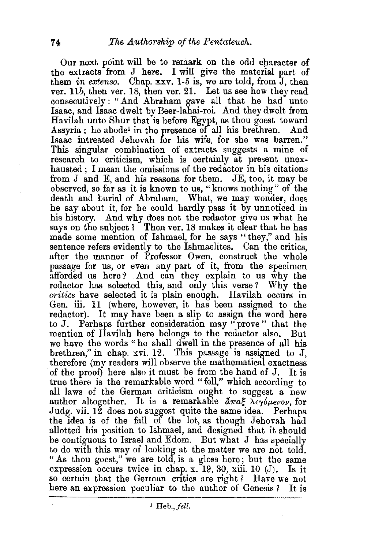Our next point will be to remark on the odd character of the extracts from J here. I will give the material part of them *in extenso.* Chap.  $xxy$ , 1-5 is, we are told, from  $J$ , then ver. 11b, then ver. 18, then ver. 21. Let us see how they read consecutively : "And Abraham gave all that he had unto Isaac, and Isaac dwelt by Beer-lahai-roi. And they dwelt from Havilah unto Shur that is before Egypt, as thou goest toward Assyria : he abode<sup>1</sup> in the presence of all his brethren. And Isaac in treated Jehovah for his wife, for she was barren." This singular combination of extracts suggests a mine of research to criticism, which is certainly at present unexhausted ; I mean the omissions of the redactor in his citations from J and E, and his reasons for them. JE, too, it may be observed, so far as it is known to us, "knows nothing" of the death and burial of Abraham. What, we may wonder, does he say about it, for he could hardly pass it by unnoticed in his history. And why does not the redactor give us what he says on the subject? Then ver.  $18$  makes it clear that he has made some mention of Ishmael, for he says " they," and his sentence refers evidently to the Ishmaelites. Can the critics, after the manner of Professor Owen, construct the whole passage for us, or even any part of it, from the specimen afforded us here? And can they explain to us why the redactor has selected this, and only this verse? Why the *critics* have selected it is plain enough. Havilah occurs in Gen. iii. 11 (where, however, it has been assigned to the redactor). It may have been a slip to assign the word here to J. Perhaps further consideration may "prove" that the mention of Havilah here belongs to the redactor also. But we have the words "he shall dwell in the presence of all his brethren," in chap. xvi. 12. This passage is assigned to J, therefore (my readers will observe the mathematical exactness of the proof) here also it must be from the hand of J. It is true there is the remarkable word " fell," which according to all laws of the German criticism ought to suggest a new author altogether. It is a remarkable  $\tilde{a}\pi a \xi \lambda \epsilon \gamma \delta \mu \epsilon \nu o \nu$ , for Judg. vii.  $12$  does not suggest quite the same idea. Perhaps the idea is of the fall of the lot, as though Jehovah had allotted his position to Ishmael, and designed that it should be contiguous to Israel and Edom. But what J has specially to do with this way of looking at the matter we are not told. " As thou goest," we are told, is a gloss here; but the same expression occurs twice in chap. x. 19, 80, xiii. 10 (J). Is it so certain that the German crttics are right ? Have we not here an expression peculiar to the author of Genesis ? It is